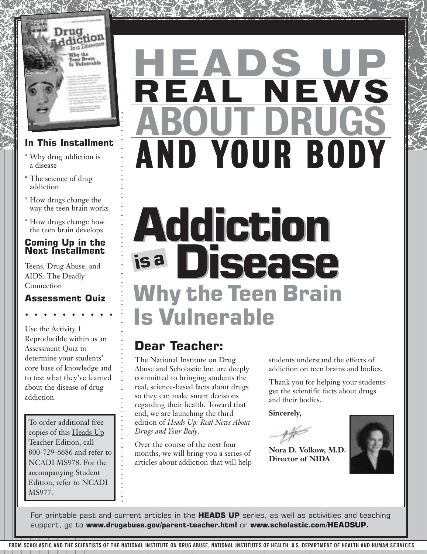

### **In This Installment**

- \* Why drug addiction is a disease
- \* The science of drug addiction
- \* How drugs change the way the teen brain works
- \* How drugs change how the teen brain develops

### **Coming Up in the Next Installment**

Teens, Drug Abuse, and AIDS: The Deadly Connection

### **Assessment Quiz**

Use the Activity 1 Reproducible within as an Assessment Quiz to determine your students' core base of knowledge and to test what they've learned about the disease of drug addiction.

To order additional free copies of this Heads Up Teacher Edition, call 800-729-6686 and refer to NCADI MS978. For the accompanying Student Edition, refer to NCADI MS977.

# AND YOUR BODY REAL NEWS HEADS UP ABOUT DRUGS

# **Why the Teen Brain Is Vulnerable Addiction Addiction is <sup>a</sup> Disease Disease**

### **Dear Teacher:**

The National Institute on Drug Abuse and Scholastic Inc. are deeply committed to bringing students the real, science-based facts about drugs so they can make smart decisions regarding their health. Toward that end, we are launching the third edition of *Heads Up: Real News About Drugs and Your Body*.

Over the course of the next four months, we will bring you a series of articles about addiction that will help students understand the effects of addiction on teen brains and bodies.

Thank you for helping your students get the scientific facts about drugs and their bodies.

**Sincerely,**

**Nora D. Volkow, M.D. Director of NIDA**



For printable past and current articles in the **HEADS UP** series, as well as activities and teaching support, go to **www.drugabuse.gov/parent-teacher.html** or **www.scholastic.com/HEADSUP.**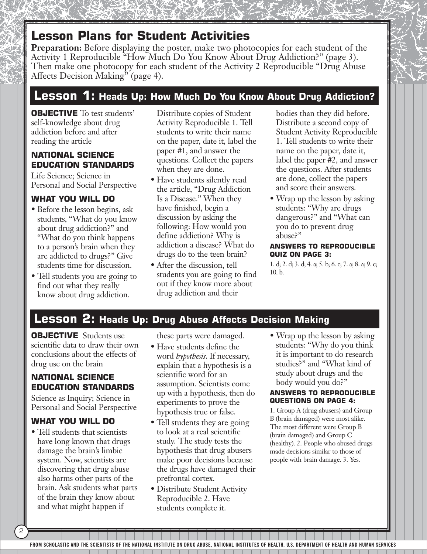**Preparation:** Before displaying the poster, make two photocopies for each student of the Activity 1 Reproducible "How Much Do You Know About Drug Addiction?" (page 3). Then make one photocopy for each student of the Activity 2 Reproducible "Drug Abuse Affects Decision Making" (page 4).

### **Lesson 1: Heads Up: How Much Do You Know About Drug Addiction?**

**OBJECTIVE** To test students' self-knowledge about drug addiction before and after reading the article

### **NATIONAL SCIENCE EDUCATION STANDARDS**

Life Science; Science in Personal and Social Perspective

### **WHAT YOU WILL DO**

- Before the lesson begins, ask students, "What do you know about drug addiction?" and "What do you think happens to a person's brain when they are addicted to drugs?" Give students time for discussion.
- Tell students you are going to find out what they really know about drug addiction.

Distribute copies of Student Activity Reproducible 1. Tell students to write their name on the paper, date it, label the paper #1, and answer the questions. Collect the papers when they are done.

- Have students silently read the article, "Drug Addiction Is a Disease." When they have finished, begin a discussion by asking the following: How would you define addiction? Why is addiction a disease? What do drugs do to the teen brain?
- After the discussion, tell students you are going to find out if they know more about drug addiction and their

bodies than they did before. Distribute a second copy of Student Activity Reproducible 1. Tell students to write their name on the paper, date it, label the paper #2, and answer the questions. After students are done, collect the papers and score their answers.

• Wrap up the lesson by asking students: "Why are drugs dangerous?" and "What can you do to prevent drug abuse?"

#### **ANSWERS TO REPRODUCIBLE QUIZ ON PAGE 3:**

1. d; 2. d; 3. d; 4. a; 5. b; 6. c; 7. a; 8. a; 9. c; 10. b.

### **Lesson 2: Heads Up: Drug Abuse Affects Decision Making**

**OBJECTIVE** Students use scientific data to draw their own conclusions about the effects of drug use on the brain

### **NATIONAL SCIENCE EDUCATION STANDARDS**

Science as Inquiry; Science in Personal and Social Perspective

### **WHAT YOU WILL DO**

2

• Tell students that scientists have long known that drugs damage the brain's limbic system. Now, scientists are discovering that drug abuse also harms other parts of the brain. Ask students what parts of the brain they know about and what might happen if

these parts were damaged.

- Have students define the word *hypothesis*. If necessary, explain that a hypothesis is a scientific word for an assumption. Scientists come up with a hypothesis, then do experiments to prove the hypothesis true or false.
- Tell students they are going to look at a real scientific study. The study tests the hypothesis that drug abusers make poor decisions because the drugs have damaged their prefrontal cortex.
- Distribute Student Activity Reproducible 2. Have students complete it.

• Wrap up the lesson by asking students: "Why do you think it is important to do research studies?" and "What kind of study about drugs and the body would you do?"

#### **ANSWERS TO REPRODUCIBLE QUESTIONS ON PAGE 4:**

1. Group A (drug abusers) and Group B (brain damaged) were most alike. The most different were Group B (brain damaged) and Group C (healthy). 2. People who abused drugs made decisions similar to those of people with brain damage. 3. Yes.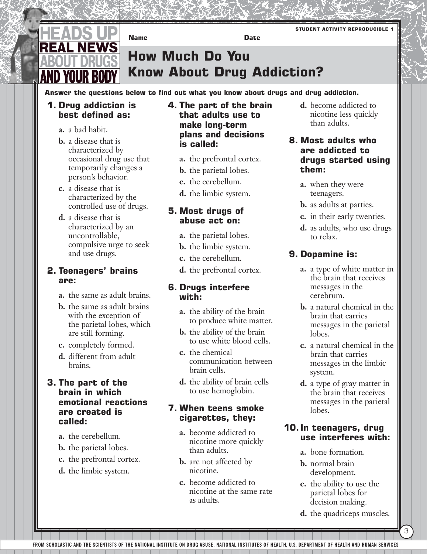

**How Much Do You** 

**Know About Drug Addiction?**

**Answer the questions below to find out what you know about drugs and drug addiction.**

**Name** Date

### **1. Drug addiction is best defined as:**

- **a.** a bad habit.
- **b.** a disease that is characterized by occasional drug use that temporarily changes a person's behavior.
- **c.** a disease that is characterized by the controlled use of drugs.
- **d.** a disease that is characterized by an uncontrollable, compulsive urge to seek and use drugs.

### **2. Teenagers' brains are:**

- **a.** the same as adult brains.
- **b.** the same as adult brains with the exception of the parietal lobes, which are still forming.
- **c.** completely formed.
- **d.** different from adult brains.

### **3. The part of the brain in which emotional reactions are created is called:**

- **a.** the cerebellum.
- **b.** the parietal lobes.
- **c.** the prefrontal cortex.
- **d.** the limbic system.

### **4. The part of the brain that adults use to make long-term plans and decisions is called:**

- **a.** the prefrontal cortex.
- **b.** the parietal lobes.
- **c.** the cerebellum.
- **d.** the limbic system.

### **5. Most drugs of abuse act on:**

- **a.** the parietal lobes.
- **b.** the limbic system.
- **c.** the cerebellum.
- **d.** the prefrontal cortex.

### **6. Drugs interfere with:**

- **a.** the ability of the brain to produce white matter.
- **b.** the ability of the brain to use white blood cells.
- **c.** the chemical communication between brain cells.
- **d.** the ability of brain cells to use hemoglobin.

### **7. When teens smoke cigarettes, they:**

- **a.** become addicted to nicotine more quickly than adults.
- **b.** are not affected by nicotine.
- **c.** become addicted to nicotine at the same rate as adults.

**d.** become addicted to nicotine less quickly than adults.

**STUDENT ACTIVITY REPRODUCIBLE 1**

### **8. Most adults who are addicted to drugs started using them:**

- **a.** when they were teenagers.
- **b.** as adults at parties.
- **c.** in their early twenties.
- **d.** as adults, who use drugs to relax.

### **9. Dopamine is:**

- **a.** a type of white matter in the brain that receives messages in the cerebrum.
- **b.** a natural chemical in the brain that carries messages in the parietal lobes.
- **c.** a natural chemical in the brain that carries messages in the limbic system.
- **d.** a type of gray matter in the brain that receives messages in the parietal lobes.

### **10. In teenagers, drug use interferes with:**

- **a.** bone formation.
- **b.** normal brain development.
- **c.** the ability to use the parietal lobes for decision making.
- **d.** the quadriceps muscles.

3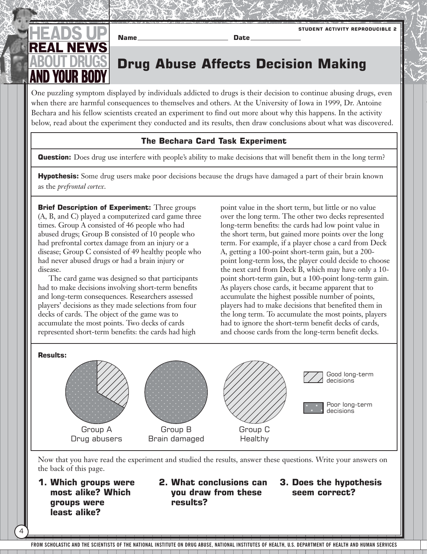

**Drug Abuse Affects Decision Making**

One puzzling symptom displayed by individuals addicted to drugs is their decision to continue abusing drugs, even when there are harmful consequences to themselves and others. At the University of Iowa in 1999, Dr. Antoine Bechara and his fellow scientists created an experiment to find out more about why this happens. In the activity below, read about the experiment they conducted and its results, then draw conclusions about what was discovered.

**Name Date**

### **The Bechara Card Task Experiment**

**Question:** Does drug use interfere with people's ability to make decisions that will benefit them in the long term?

**Hypothesis:** Some drug users make poor decisions because the drugs have damaged a part of their brain known as the *prefrontal cortex*.

**Brief Description of Experiment:** Three groups (A, B, and C) played a computerized card game three times. Group A consisted of 46 people who had abused drugs; Group B consisted of 10 people who had prefrontal cortex damage from an injury or a disease; Group C consisted of 49 healthy people who had never abused drugs or had a brain injury or disease.

The card game was designed so that participants had to make decisions involving short-term benefits and long-term consequences. Researchers assessed players' decisions as they made selections from four decks of cards. The object of the game was to accumulate the most points. Two decks of cards represented short-term benefits: the cards had high

point value in the short term, but little or no value over the long term. The other two decks represented long-term benefits: the cards had low point value in the short term, but gained more points over the long term. For example, if a player chose a card from Deck A, getting a 100-point short-term gain, but a 200 point long-term loss, the player could decide to choose the next card from Deck B, which may have only a 10 point short-term gain, but a 100-point long-term gain. As players chose cards, it became apparent that to accumulate the highest possible number of points, players had to make decisions that benefited them in the long term. To accumulate the most points, players had to ignore the short-term benefit decks of cards, and choose cards from the long-term benefit decks.

**STUDENT ACTIVITY REPRODUCIBLE 2**



Now that you have read the experiment and studied the results, answer these questions. Write your answers on the back of this page.

**1. Which groups were most alike? Which groups were least alike?**

4

**2. What conclusions can you draw from these results?**

### **3. Does the hypothesis seem correct?**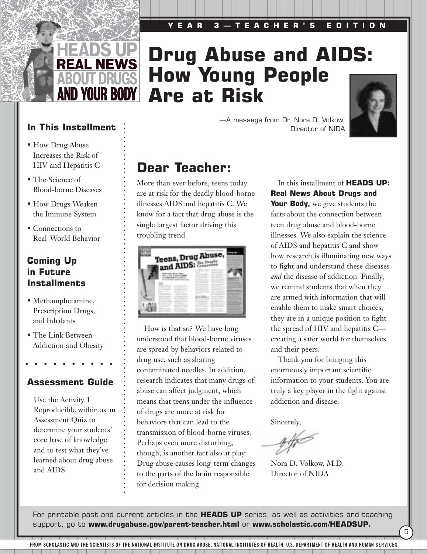# **Drug Abuse and AIDS: How Young People Are at Risk**



**In This Installment** 

**REAL NEWS** 

**AND YOUR BODY** 

- How Drug Abuse Increases the Risk of HIV and Hepatitis C
- The Science of Blood-borne Diseases
- How Drugs Weaken the Immune System
- Connections to Real-World Behavior

### **Coming Up in Future Installments**

- Methamphetamine, Prescription Drugs, and Inhalants
- The Link Between Addiction and Obesity

### **Assessment Guide**

Use the Activity 1 Reproducible within as an Assessment Quiz to determine your students' core base of knowledge and to test what they've learned about drug abuse and AIDS.

—A message from Dr. Nora D. Volkow, Director of NIDA

### **Dear Teacher:**

More than ever before, teens today are at risk for the deadly blood-borne illnesses AIDS and hepatitis C. We know for a fact that drug abuse is the single largest factor driving this troubling trend.



How is that so? We have long understood that blood-borne viruses are spread by behaviors related to drug use, such as sharing contaminated needles. In addition, research indicates that many drugs of abuse can affect judgment, which means that teens under the influence of drugs are more at risk for behaviors that can lead to the transmission of blood-borne viruses. Perhaps even more disturbing, though, is another fact also at play: Drug abuse causes long-term changes to the parts of the brain responsible for decision making.

In this installment of **HEADS UP: Real News About Drugs and Your Body,** we give students the facts about the connection between teen drug abuse and blood-borne illnesses. We also explain the science of AIDS and hepatitis C and show how research is illuminating new ways to fight and understand these diseases *and* the disease of addiction. Finally, we remind students that when they are armed with information that will enable them to make smart choices, they are in a unique position to fight the spread of HIV and hepatitis C creating a safer world for themselves and their peers.

Thank you for bringing this enormously important scientific information to your students. You are truly a key player in the fight against addiction and disease.

5

Sincerely,

Nora D. Volkow, M.D. Director of NIDA

For printable past and current articles in the **HEADS UP** series, as well as activities and teaching support, go to **www.drugabuse.gov/parent-teacher.html** or **www.scholastic.com/HEADSUP.**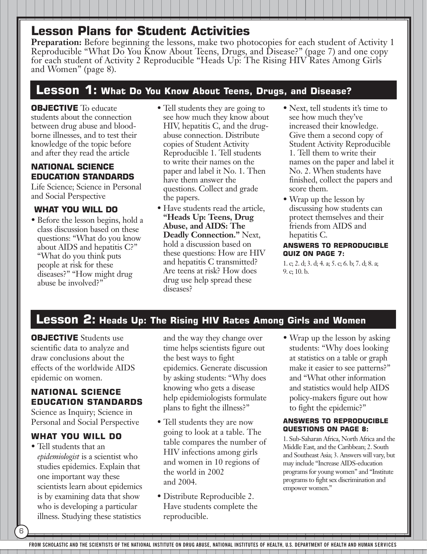**Preparation:** Before beginning the lessons, make two photocopies for each student of Activity 1 Reproducible "What Do You Know About Teens, Drugs, and Disease?" (page 7) and one copy for each student of Activity 2 Reproducible "Heads Up: The Rising HIV Rates Among Girls and Women" (page 8).

### **Lesson 1: What Do You Know About Teens, Drugs, and Disease?**

**OBJECTIVE** To educate students about the connection between drug abuse and bloodborne illnesses, and to test their knowledge of the topic before and after they read the article

### **NATIONAL SCIENCE EDUCATION STANDARDS**

Life Science; Science in Personal and Social Perspective

### **WHAT YOU WILL DO**

- Before the lesson begins, hold a class discussion based on these questions: "What do you know about AIDS and hepatitis C?" "What do you think puts people at risk for these diseases?" "How might drug abuse be involved?"
- Tell students they are going to see how much they know about HIV, hepatitis C, and the drugabuse connection. Distribute copies of Student Activity Reproducible 1. Tell students to write their names on the paper and label it No. 1. Then have them answer the questions. Collect and grade the papers.
- Have students read the article, **"Heads Up: Teens, Drug Abuse, and AIDS: The Deadly Connection."** Next, hold a discussion based on these questions: How are HIV and hepatitis C transmitted? Are teens at risk? How does drug use help spread these diseases?
- Next, tell students it's time to see how much they've increased their knowledge. Give them a second copy of Student Activity Reproducible 1. Tell them to write their names on the paper and label it No. 2. When students have finished, collect the papers and score them.
- Wrap up the lesson by discussing how students can protect themselves and their friends from AIDS and hepatitis C.

#### **ANSWERS TO REPRODUCIBLE QUIZ ON PAGE 7:**

1. c; 2. d; 3. d; 4. a; 5. c; 6. b; 7. d; 8. a; 9. c; 10. b.

### **Lesson 2: Heads Up: The Rising HIV Rates Among Girls and Women**

**OBJECTIVE** Students use scientific data to analyze and draw conclusions about the effects of the worldwide AIDS epidemic on women.

### **NATIONAL SCIENCE EDUCATION STANDARDS**

Science as Inquiry; Science in Personal and Social Perspective

### **WHAT YOU WILL DO**

6

• Tell students that an *epidemiologist* is a scientist who studies epidemics. Explain that one important way these scientists learn about epidemics is by examining data that show who is developing a particular illness. Studying these statistics

and the way they change over time helps scientists figure out the best ways to fight epidemics. Generate discussion by asking students: "Why does knowing who gets a disease help epidemiologists formulate plans to fight the illness?"

- Tell students they are now going to look at a table. The table compares the number of HIV infections among girls and women in 10 regions of the world in 2002 and 2004.
- Distribute Reproducible 2. Have students complete the reproducible.

• Wrap up the lesson by asking students: "Why does looking at statistics on a table or graph make it easier to see patterns?" and "What other information and statistics would help AIDS policy-makers figure out how to fight the epidemic?"

#### **ANSWERS TO REPRODUCIBLE QUESTIONS ON PAGE 8:**

1. Sub-Saharan Africa, North Africa and the Middle East, and the Caribbean; 2. South and Southeast Asia; 3. Answers will vary, but may include "Increase AIDS-education programs for young women" and "Institute programs to fight sex discrimination and empower women."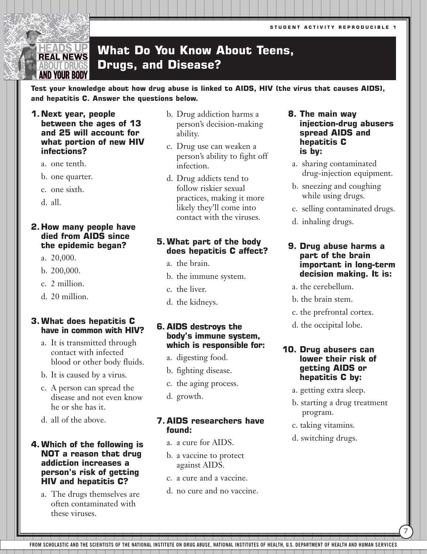**STUDENT ACTIVITY REPRODUCIBLE 1**

#### **What Do You Know About Teens,**  HEADS UP **REAL NEWS Drugs, and Disease? BOUT DRUG** AND YOUR BODY

**Test your knowledge about how drug abuse is linked to AIDS, HIV (the virus that causes AIDS), and hepatitis C. Answer the questions below.** 

**1.Next year, people between the ages of 13 and 25 will account for what portion of new HIV infections?**

- a. one tenth.
- b. one quarter.
- c. one sixth.
- d. all.

#### **2. How many people have died from AIDS since the epidemic began?**

- a. 20,000.
- b. 200,000.
- c. 2 million.
- d. 20 million.

### **3.What does hepatitis C have in common with HIV?**

- a. It is transmitted through contact with infected blood or other body fluids.
- b. It is caused by a virus.
- c. A person can spread the disease and not even know he or she has it.
- d. all of the above.

### **4.Which of the following is NOT a reason that drug addiction increases a person's risk of getting HIV and hepatitis C?**

a. The drugs themselves are often contaminated with these viruses.

- b. Drug addiction harms a person's decision-making ability.
- c. Drug use can weaken a person's ability to fight off infection.
- d. Drug addicts tend to follow riskier sexual practices, making it more likely they'll come into contact with the viruses.

### **5.What part of the body does hepatitis C affect?**

- a. the brain.
- b. the immune system.
- c. the liver.
- d. the kidneys.

### **6. AIDS destroys the body's immune system, which is responsible for:**

- a. digesting food.
- b. fighting disease.
- c. the aging process.
- d. growth.

#### **7. AIDS researchers have found:**

- a. a cure for AIDS.
- b. a vaccine to protect against AIDS.
- c. a cure and a vaccine.
- d. no cure and no vaccine.

### **18. The main way injection-drug abusers spread AIDS and hepatitis C is by:**

- a. sharing contaminated drug-injection equipment.
- b. sneezing and coughing while using drugs.
- c. selling contaminated drugs.
- d. inhaling drugs.

#### **19. Drug abuse harms a part of the brain important in long-term decision making. It is:**

- a. the cerebellum.
- b. the brain stem.
- c. the prefrontal cortex.
- d. the occipital lobe.

### **10. Drug abusers can lower their risk of getting AIDS or hepatitis C by:**

- a. getting extra sleep.
- b. starting a drug treatment program.

7

- c. taking vitamins.
- d. switching drugs.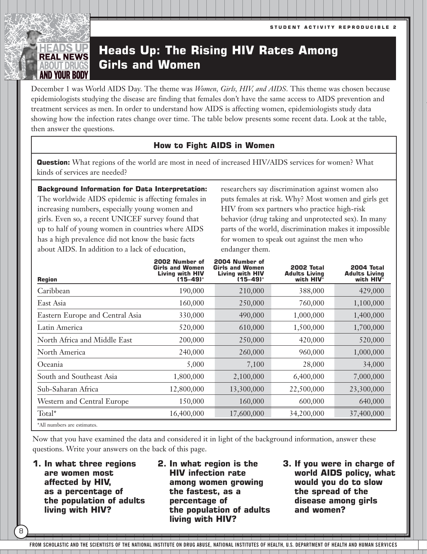### EADS UP **REAL NEWS BOUT DRUG** AND YOUR BOD

### **Heads Up: The Rising HIV Rates Among Girls and Women**

December 1 was World AIDS Day. The theme was *Women, Girls, HIV, and AIDS*. This theme was chosen because epidemiologists studying the disease are finding that females don't have the same access to AIDS prevention and treatment services as men. In order to understand how AIDS is affecting women, epidemiologists study data showing how the infection rates change over time. The table below presents some recent data. Look at the table, then answer the questions.

### **How to Fight AIDS in Women**

**Question:** What regions of the world are most in need of increased HIV/AIDS services for women? What kinds of services are needed?

**Background Information for Data Interpretation:** The worldwide AIDS epidemic is affecting females in increasing numbers, especially young women and girls. Even so, a recent UNICEF survey found that up to half of young women in countries where AIDS has a high prevalence did not know the basic facts about AIDS. In addition to a lack of education,

researchers say discrimination against women also puts females at risk. Why? Most women and girls get HIV from sex partners who practice high-risk behavior (drug taking and unprotected sex). In many parts of the world, discrimination makes it impossible for women to speak out against the men who endanger them.

| <b>Region</b>                   | 2002 Number of<br><b>Girls and Women</b><br><b>Living with HIV</b><br>$(15 - 49)^{*}$ | 2004 Number of<br><b>Girls and Women</b><br><b>Living with HIV</b><br>$(15 - 49)^{*}$ | <b>2002 Total</b><br><b>Adults Living</b><br>with $HIV^*$ | 2004 Total<br><b>Adults Living</b><br>with HIV* |
|---------------------------------|---------------------------------------------------------------------------------------|---------------------------------------------------------------------------------------|-----------------------------------------------------------|-------------------------------------------------|
| Caribbean                       | 190,000                                                                               | 210,000                                                                               | 388,000                                                   | 429,000                                         |
| East Asia                       | 160,000                                                                               | 250,000                                                                               | 760,000                                                   | 1,100,000                                       |
| Eastern Europe and Central Asia | 330,000                                                                               | 490,000                                                                               | 1,000,000                                                 | 1,400,000                                       |
| Latin America                   | 520,000                                                                               | 610,000                                                                               | 1,500,000                                                 | 1,700,000                                       |
| North Africa and Middle East    | 200,000                                                                               | 250,000                                                                               | 420,000                                                   | 520,000                                         |
| North America                   | 240,000                                                                               | 260,000                                                                               | 960,000                                                   | 1,000,000                                       |
| Oceania                         | 5,000                                                                                 | 7,100                                                                                 | 28,000                                                    | 34,000                                          |
| South and Southeast Asia        | 1,800,000                                                                             | 2,100,000                                                                             | 6,400,000                                                 | 7,000,000                                       |
| Sub-Saharan Africa              | 12,800,000                                                                            | 13,300,000                                                                            | 22,500,000                                                | 23,300,000                                      |
| Western and Central Europe      | 150,000                                                                               | 160,000                                                                               | 600,000                                                   | 640,000                                         |
| Total*                          | 16,400,000                                                                            | 17,600,000                                                                            | 34,200,000                                                | 37,400,000                                      |
| *All numbers are estimates.     |                                                                                       |                                                                                       |                                                           |                                                 |

Now that you have examined the data and considered it in light of the background information, answer these questions. Write your answers on the back of this page.

**1. In what three regions are women most affected by HIV, as a percentage of the population of adults living with HIV?**

8

- **2. In what region is the HIV infection rate among women growing the fastest, as a percentage of the population of adults living with HIV?**
- **3. If you were in charge of world AIDS policy, what would you do to slow the spread of the disease among girls and women?**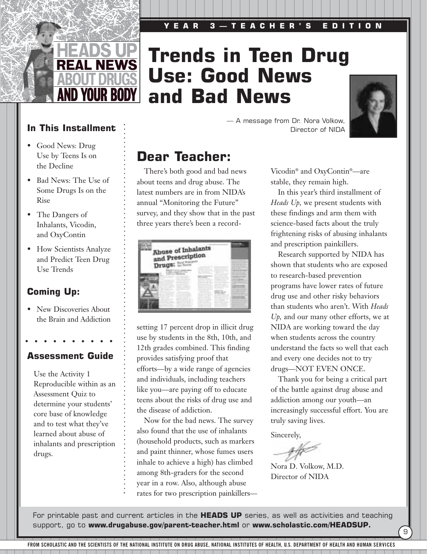### **YEAR 3—TEACHER'S EDITION**



## **Trends in Teen Drug Use: Good News and Bad News**



**In This Installment** 

- Good News: Drug Use by Teens Is on the Decline
- Bad News: The Use of Some Drugs Is on the Rise
- The Dangers of Inhalants, Vicodin, and OxyContin
- How Scientists Analyze and Predict Teen Drug Use Trends

### **Coming Up:**

• New Discoveries About the Brain and Addiction

### **Assessment Guide**

Use the Activity 1 Reproducible within as an Assessment Quiz to determine your students' core base of knowledge and to test what they've learned about abuse of inhalants and prescription drugs.

Director of NIDA

— A message from Dr. Nora Volkow,

### **Dear Teacher:**

There's both good and bad news about teens and drug abuse. The latest numbers are in from NIDA's annual "Monitoring the Future" survey, and they show that in the past three years there's been a record-

| <b>Shuse of Inhalants</b><br>and Prescription<br>Drugs: |  |  |
|---------------------------------------------------------|--|--|
|                                                         |  |  |

setting 17 percent drop in illicit drug use by students in the 8th, 10th, and 12th grades combined. This finding provides satisfying proof that efforts—by a wide range of agencies and individuals, including teachers like you—are paying off to educate teens about the risks of drug use and the disease of addiction.

Now for the bad news. The survey also found that the use of inhalants (household products, such as markers and paint thinner, whose fumes users inhale to achieve a high) has climbed among 8th-graders for the second year in a row. Also, although abuse rates for two prescription painkillers—

Vicodin® and OxyContin®—are stable, they remain high.

In this year's third installment of *Heads Up,* we present students with these findings and arm them with science-based facts about the truly frightening risks of abusing inhalants and prescription painkillers.

Research supported by NIDA has shown that students who are exposed to research-based prevention programs have lower rates of future drug use and other risky behaviors than students who aren't. With *Heads Up,* and our many other efforts, we at NIDA are working toward the day when students across the country understand the facts so well that each and every one decides not to try drugs—NOT EVEN ONCE.

Thank you for being a critical part of the battle against drug abuse and addiction among our youth—an increasingly successful effort. You are truly saving lives.

Sincerely,

Nora D. Volkow, M.D. Director of NIDA

For printable past and current articles in the **HEADS UP** series, as well as activities and teaching support, go to **www.drugabuse.gov/parent-teacher.html** or **www.scholastic.com/HEADSUP.**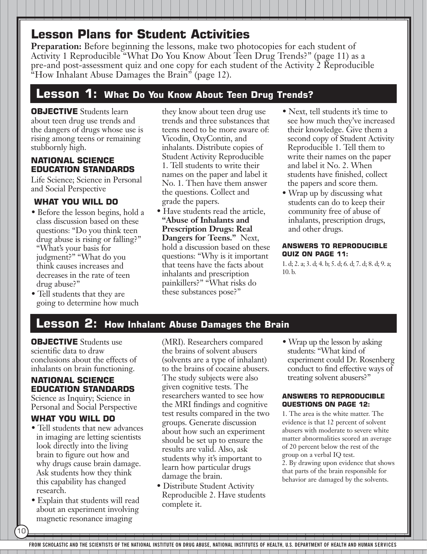**Preparation:** Before beginning the lessons, make two photocopies for each student of Activity 1 Reproducible "What Do You Know About Teen Drug Trends?" (page 11) as a pre-and post-assessment quiz and one copy for each student of the Activity 2 Reproducible "How Inhalant Abuse Damages the Brain" (page 12).

### **Lesson 1: What Do You Know About Teen Drug Trends?**

### **OBJECTIVE** Students learn about teen drug use trends and the dangers of drugs whose use is rising among teens or remaining stubbornly high.

### **NATIONAL SCIENCE EDUCATION STANDARDS**

Life Science; Science in Personal and Social Perspective

### **WHAT YOU WILL DO**

- Before the lesson begins, hold a class discussion based on these questions: "Do you think teen drug abuse is rising or falling?" "What's your basis for judgment?" "What do you think causes increases and decreases in the rate of teen drug abuse?"
- Tell students that they are going to determine how much

they know about teen drug use trends and three substances that teens need to be more aware of: Vicodin, OxyContin, and inhalants. Distribute copies of Student Activity Reproducible 1. Tell students to write their names on the paper and label it No. 1. Then have them answer the questions. Collect and grade the papers.

- Have students read the article, **"Abuse of Inhalants and Prescription Drugs: Real Dangers for Teens."** Next, hold a discussion based on these questions: "Why is it important that teens have the facts about inhalants and prescription painkillers?" "What risks do these substances pose?"
- Next, tell students it's time to see how much they've increased their knowledge. Give them a second copy of Student Activity Reproducible 1. Tell them to write their names on the paper and label it No. 2. When students have finished, collect the papers and score them.
- Wrap up by discussing what students can do to keep their community free of abuse of inhalants, prescription drugs, and other drugs.

#### **ANSWERS TO REPRODUCIBLE QUIZ ON PAGE 11:**

1. d; 2. a; 3. d; 4. b; 5. d; 6. d; 7. d; 8. d; 9. a; 10. b.

### **Lesson 2: How Inhalant Abuse Damages the Brain**

**OBJECTIVE** Students use scientific data to draw conclusions about the effects of inhalants on brain functioning.

### **NATIONAL SCIENCE EDUCATION STANDARDS**

Science as Inquiry; Science in Personal and Social Perspective

### **WHAT YOU WILL DO**

- Tell students that new advances in imaging are letting scientists look directly into the living brain to figure out how and why drugs cause brain damage. Ask students how they think this capability has changed research.
- Explain that students will read about an experiment involving magnetic resonance imaging

10

(MRI). Researchers compared the brains of solvent abusers (solvents are a type of inhalant) to the brains of cocaine abusers. The study subjects were also given cognitive tests. The researchers wanted to see how the MRI findings and cognitive test results compared in the two groups. Generate discussion about how such an experiment should be set up to ensure the results are valid. Also, ask students why it's important to learn how particular drugs damage the brain.

• Distribute Student Activity Reproducible 2. Have students complete it.

• Wrap up the lesson by asking students: "What kind of experiment could Dr. Rosenberg conduct to find effective ways of treating solvent abusers?"

#### **ANSWERS TO REPRODUCIBLE QUESTIONS ON PAGE 12:**

1. The area is the white matter. The evidence is that 12 percent of solvent abusers with moderate to severe white matter abnormalities scored an average of 20 percent below the rest of the group on a verbal IQ test. 2. By drawing upon evidence that shows that parts of the brain responsible for behavior are damaged by the solvents.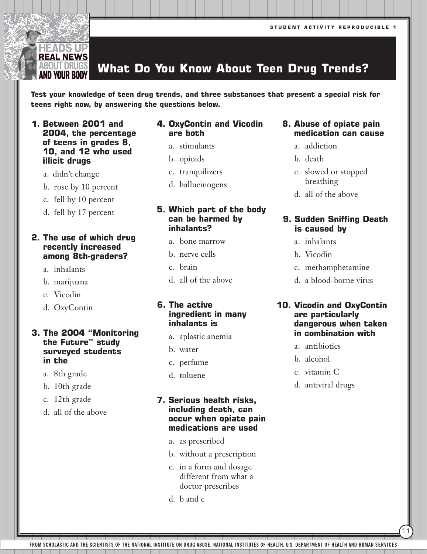#### BOUT DRUG **What Do You Know About Teen Drug Trends?**

**Test your knowledge of teen drug trends, and three substances that present a special risk for teens right now, by answering the questions below.** 

- **1. Between 2001 and 2004, the percentage of teens in grades 8, 10, and 12 who used illicit drugs**
	- a. didn't change

**IEADS UP REAL NEWS** 

- b. rose by 10 percent
- c. fell by 10 percent
- d. fell by 17 percent

### **2. The use of which drug recently increased among 8th-graders?**

- a. inhalants
- b. marijuana
- c. Vicodin
- d. OxyContin

#### **3. The 2004 "Monitoring the Future" study surveyed students in the**

- a. 8th grade
- b. 10th grade
- c. 12th grade
- d. all of the above

### **4. OxyContin and Vicodin are both**

- a. stimulants
- b. opioids
- c. tranquilizers
- d. hallucinogens

### **5. Which part of the body can be harmed by inhalants?**

- a. bone marrow
- b. nerve cells
- c. brain
- d. all of the above

### **6. The active ingredient in many inhalants is**

- a. aplastic anemia
- b. water
- c. perfume
- d. toluene

### **7. Serious health risks, including death, can occur when opiate pain medications are used**

- a. as prescribed
- b. without a prescription
- c. in a form and dosage different from what a doctor prescribes
- d. b and c
- **8. Abuse of opiate pain medication can cause**
	- a. addiction
	- b. death
	- c. slowed or stopped breathing
	- d. all of the above

#### **9. Sudden Sniffing Death is caused by**

- a. inhalants
- b. Vicodin
- c. methamphetamine
- d. a blood-borne virus

### **10. Vicodin and OxyContin are particularly dangerous when taken in combination with**

- a. antibiotics
- b. alcohol
- c. vitamin C
- d. antiviral drugs

11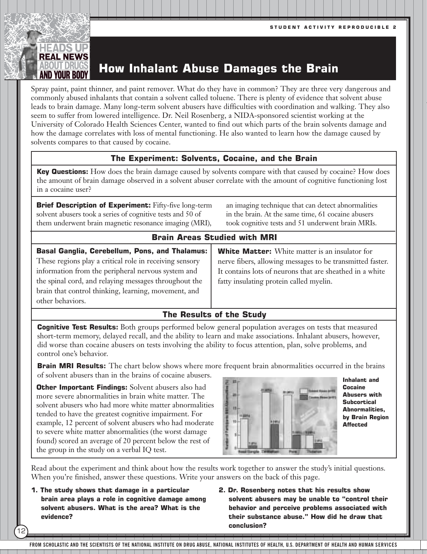

Spray paint, paint thinner, and paint remover. What do they have in common? They are three very dangerous and commonly abused inhalants that contain a solvent called toluene. There is plenty of evidence that solvent abuse leads to brain damage. Many long-term solvent abusers have difficulties with coordination and walking. They also seem to suffer from lowered intelligence. Dr. Neil Rosenberg, a NIDA-sponsored scientist working at the University of Colorado Health Sciences Center, wanted to find out which parts of the brain solvents damage and how the damage correlates with loss of mental functioning. He also wanted to learn how the damage caused by solvents compares to that caused by cocaine.

### **The Experiment: Solvents, Cocaine, and the Brain**

**Key Questions:** How does the brain damage caused by solvents compare with that caused by cocaine? How does the amount of brain damage observed in a solvent abuser correlate with the amount of cognitive functioning lost in a cocaine user?

**Brief Description of Experiment:** Fifty-five long-term solvent abusers took a series of cognitive tests and 50 of them underwent brain magnetic resonance imaging (MRI),

an imaging technique that can detect abnormalities in the brain. At the same time, 61 cocaine abusers took cognitive tests and 51 underwent brain MRIs.

### **Brain Areas Studied with MRI**

**Basal Ganglia, Cerebellum, Pons, and Thalamus:** These regions play a critical role in receiving sensory information from the peripheral nervous system and the spinal cord, and relaying messages throughout the brain that control thinking, learning, movement, and other behaviors.

**White Matter:** White matter is an insulator for nerve fibers, allowing messages to be transmitted faster. It contains lots of neurons that are sheathed in a white fatty insulating protein called myelin.

### **The Results of the Study**

**Cognitive Test Results:** Both groups performed below general population averages on tests that measured short-term memory, delayed recall, and the ability to learn and make associations. Inhalant abusers, however, did worse than cocaine abusers on tests involving the ability to focus attention, plan, solve problems, and control one's behavior.

**Brain MRI Results:** The chart below shows where more frequent brain abnormalities occurred in the brains of solvent abusers than in the brains of cocaine abusers.

**Other Important Findings:** Solvent abusers also had more severe abnormalities in brain white matter. The solvent abusers who had more white matter abnormalities tended to have the greatest cognitive impairment. For example, 12 percent of solvent abusers who had moderate to severe white matter abnormalities (the worst damage found) scored an average of 20 percent below the rest of the group in the study on a verbal IQ test.



**Inhalant and Cocaine Abusers with Subcortical Abnormalities, by Brain Region Affected**

Read about the experiment and think about how the results work together to answer the study's initial questions. When you're finished, answer these questions. Write your answers on the back of this page.

**1. The study shows that damage in a particular brain area plays a role in cognitive damage among solvent abusers. What is the area? What is the evidence?** 

12

**2. Dr. Rosenberg notes that his results show solvent abusers may be unable to "control their behavior and perceive problems associated with their substance abuse." How did he draw that conclusion?**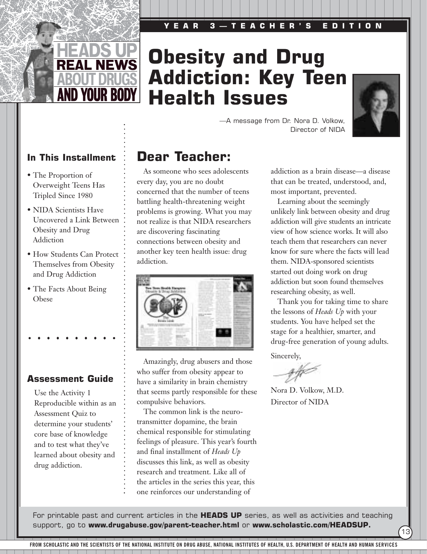### **YEAR 3—TEACHER'S EDITION**



## **Obesity and Drug Addiction: Key Teen Health Issues**



13

—A message from Dr. Nora D. Volkow, Director of NIDA



- The Proportion of Overweight Teens Has Tripled Since 1980
- NIDA Scientists Have Uncovered a Link Between Obesity and Drug Addiction
- How Students Can Protect Themselves from Obesity and Drug Addiction
- The Facts About Being Obese

### **Assessment Guide**

Use the Activity 1 Reproducible within as an Assessment Quiz to determine your students' core base of knowledge and to test what they've learned about obesity and drug addiction.

### **Dear Teacher:**

As someone who sees adolescents every day, you are no doubt concerned that the number of teens battling health-threatening weight problems is growing. What you may not realize is that NIDA researchers are discovering fascinating connections between obesity and another key teen health issue: drug addiction.



Amazingly, drug abusers and those who suffer from obesity appear to have a similarity in brain chemistry that seems partly responsible for these compulsive behaviors.

The common link is the neurotransmitter dopamine, the brain chemical responsible for stimulating feelings of pleasure. This year's fourth and final installment of *Heads Up* discusses this link, as well as obesity research and treatment. Like all of the articles in the series this year, this one reinforces our understanding of

addiction as a brain disease—a disease that can be treated, understood, and, most important, prevented.

Learning about the seemingly unlikely link between obesity and drug addiction will give students an intricate view of how science works. It will also teach them that researchers can never know for sure where the facts will lead them. NIDA-sponsored scientists started out doing work on drug addiction but soon found themselves researching obesity, as well.

Thank you for taking time to share the lessons of *Heads Up* with your students. You have helped set the stage for a healthier, smarter, and drug-free generation of young adults.

Sincerely,

Nora D. Volkow, M.D. Director of NIDA

For printable past and current articles in the **HEADS UP** series, as well as activities and teaching support, go to **www.drugabuse.gov/parent-teacher.html** or **www.scholastic.com/HEADSUP.**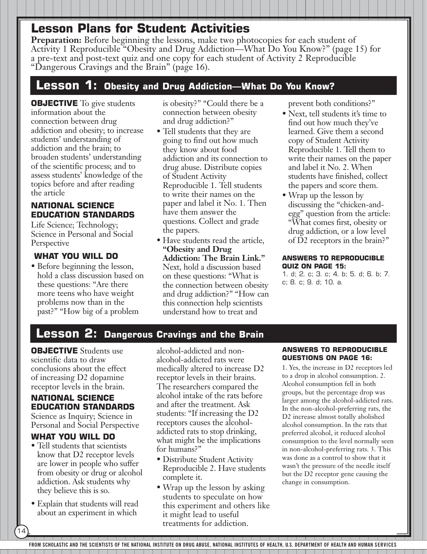**Preparation:** Before beginning the lessons, make two photocopies for each student of Activity 1 Reproducible "Obesity and Drug Addiction—What Do You Know?" (page 15) for a pre-text and post-text quiz and one copy for each student of Activity 2 Reproducible "Dangerous Cravings and the Brain" (page 16).

### **Lesson 1: Obesity and Drug Addiction—What Do You Know?**

**OBJECTIVE** To give students information about the connection between drug addiction and obesity; to increase students' understanding of addiction and the brain; to broaden students' understanding of the scientific process; and to assess students' knowledge of the topics before and after reading the article

### **NATIONAL SCIENCE EDUCATION STANDARDS**

Life Science; Technology; Science in Personal and Social **Perspective** 

### **WHAT YOU WILL DO**

• Before beginning the lesson, hold a class discussion based on these questions: "Are there more teens who have weight problems now than in the past?" "How big of a problem

is obesity?" "Could there be a connection between obesity and drug addiction?"

- Tell students that they are going to find out how much they know about food addiction and its connection to drug abuse. Distribute copies of Student Activity Reproducible 1. Tell students to write their names on the paper and label it No. 1. Then have them answer the questions. Collect and grade the papers.
- Have students read the article, **"Obesity and Drug Addiction: The Brain Link."** Next, hold a discussion based on these questions: "What is the connection between obesity and drug addiction?" "How can this connection help scientists understand how to treat and

prevent both conditions?"

- Next, tell students it's time to find out how much they've learned. Give them a second copy of Student Activity Reproducible 1. Tell them to write their names on the paper and label it No. 2. When students have finished, collect the papers and score them.
- Wrap up the lesson by discussing the "chicken-andegg" question from the article: "What comes first, obesity or drug addiction, or a low level of D2 receptors in the brain?"

#### **ANSWERS TO REPRODUCIBLE QUIZ ON PAGE 15:**

1. d; 2. c; 3. c; 4. b; 5. d; 6. b; 7. c; 8. c; 9. d; 10. a.

### **Lesson 2: Dangerous Cravings and the Brain**

**OBJECTIVE** Students use scientific data to draw conclusions about the effect of increasing D2 dopamine receptor levels in the brain.

### **NATIONAL SCIENCE EDUCATION STANDARDS**

Science as Inquiry; Science in Personal and Social Perspective

### **WHAT YOU WILL DO**

- Tell students that scientists know that D2 receptor levels are lower in people who suffer from obesity or drug or alcohol addiction. Ask students why they believe this is so.
- Explain that students will read about an experiment in which

14

alcohol-addicted and nonalcohol-addicted rats were medically altered to increase D2 receptor levels in their brains. The researchers compared the alcohol intake of the rats before and after the treatment. Ask students: "If increasing the D2 receptors causes the alcoholaddicted rats to stop drinking, what might be the implications for humans?"

- Distribute Student Activity Reproducible 2. Have students complete it.
- Wrap up the lesson by asking students to speculate on how this experiment and others like it might lead to useful treatments for addiction.

#### **ANSWERS TO REPRODUCIBLE QUESTIONS ON PAGE 16:**

1. Yes, the increase in D2 receptors led to a drop in alcohol consumption. 2. Alcohol consumption fell in both groups, but the percentage drop was larger among the alcohol-addicted rats. In the non-alcohol-preferring rats, the D2 increase almost totally abolished alcohol consumption. In the rats that preferred alcohol, it reduced alcohol consumption to the level normally seen in non-alcohol-preferring rats. 3. This was done as a control to show that it wasn't the pressure of the needle itself but the D2 receptor gene causing the change in consumption.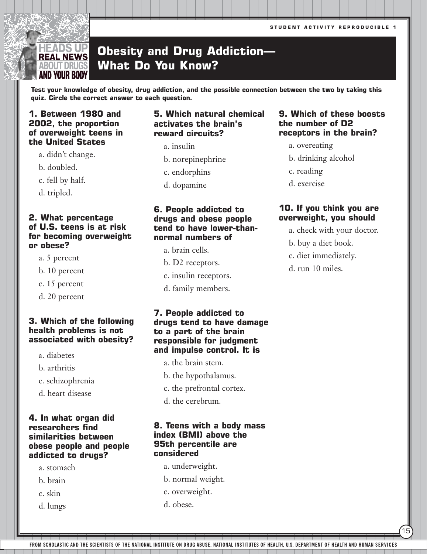**STUDENT ACTIVITY REPRODUCIBLE 1**

#### ADS UP **Obesity and Drug Addiction— REAL NEWS What Do You Know?** BOUT DRUG AND YOUR BODY

**Test your knowledge of obesity, drug addiction, and the possible connection between the two by taking this quiz. Circle the correct answer to each question.** 

### **1. Between 1980 and 2002, the proportion of overweight teens in the United States**

a. didn't change.

b. doubled.

c. fell by half.

d. tripled.

### **2. What percentage of U.S. teens is at risk for becoming overweight or obese?**

- a. 5 percent
- b. 10 percent
- c. 15 percent
- d. 20 percent

### **3. Which of the following health problems is not associated with obesity?**

- a. diabetes
- b. arthritis
- c. schizophrenia
- d. heart disease

### **4. In what organ did researchers find similarities between obese people and people addicted to drugs?**

- a. stomach
- b. brain
- c. skin
- d. lungs

### **5. Which natural chemical activates the brain's reward circuits?**

- a. insulin
- b. norepinephrine
- c. endorphins
- d. dopamine

### **6. People addicted to drugs and obese people tend to have lower-thannormal numbers of**

- a. brain cells.
- b. D2 receptors.
- c. insulin receptors.
- d. family members.

### **7. People addicted to drugs tend to have damage to a part of the brain responsible for judgment and impulse control. It is**

- a. the brain stem.
- b. the hypothalamus.
- c. the prefrontal cortex.
- d. the cerebrum.

### **8. Teens with a body mass index (BMI) above the 95th percentile are considered**

- a. underweight.
- b. normal weight.
- c. overweight.
- d. obese.

### **9. Which of these boosts the number of D2 receptors in the brain?**

- a. overeating
- b. drinking alcohol
- c. reading
- d. exercise

### **10. If you think you are overweight, you should**

a. check with your doctor.

15

- b. buy a diet book.
- c. diet immediately.
- d. run 10 miles.